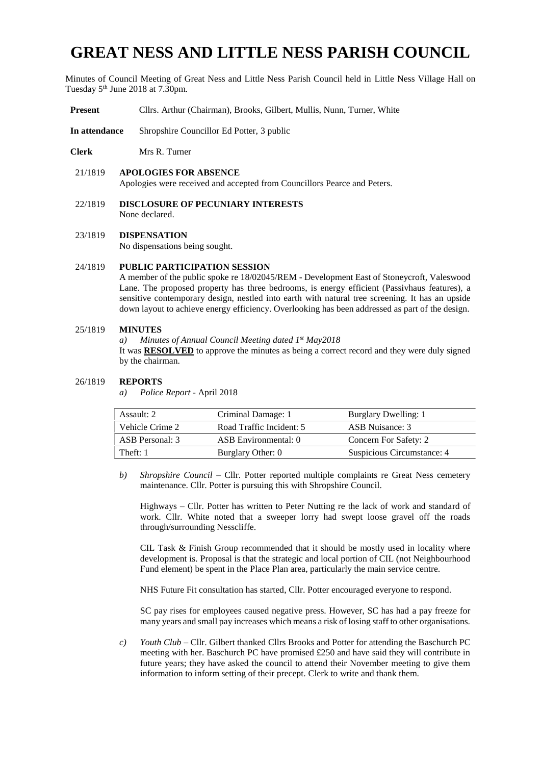# **GREAT NESS AND LITTLE NESS PARISH COUNCIL**

Minutes of Council Meeting of Great Ness and Little Ness Parish Council held in Little Ness Village Hall on Tuesday 5<sup>th</sup> June 2018 at 7.30pm.

- **Present** Cllrs. Arthur (Chairman), Brooks, Gilbert, Mullis, Nunn, Turner, White
- **In attendance** Shropshire Councillor Ed Potter, 3 public
- **Clerk** Mrs R. Turner
- 21/1819 **APOLOGIES FOR ABSENCE**

Apologies were received and accepted from Councillors Pearce and Peters.

- 22/1819 **DISCLOSURE OF PECUNIARY INTERESTS** None declared.
- 23/1819 **DISPENSATION** No dispensations being sought.

### 24/1819 **PUBLIC PARTICIPATION SESSION**

A member of the public spoke re 18/02045/REM - Development East of Stoneycroft, Valeswood Lane. The proposed property has three bedrooms, is energy efficient (Passivhaus features), a sensitive contemporary design, nestled into earth with natural tree screening. It has an upside down layout to achieve energy efficiency. Overlooking has been addressed as part of the design.

#### 25/1819 **MINUTES**

*a) Minutes of Annual Council Meeting dated 1st May2018* It was **RESOLVED** to approve the minutes as being a correct record and they were duly signed by the chairman.

#### 26/1819 **REPORTS**

*a) Police Report -* April 2018

| Assault: 2      | Criminal Damage: 1       | Burglary Dwelling: 1       |  |
|-----------------|--------------------------|----------------------------|--|
| Vehicle Crime 2 | Road Traffic Incident: 5 | ASB Nuisance: 3            |  |
| ASB Personal: 3 | ASB Environmental: 0     | Concern For Safety: 2      |  |
| Theft: 1        | Burglary Other: 0        | Suspicious Circumstance: 4 |  |

*b) Shropshire Council* – Cllr. Potter reported multiple complaints re Great Ness cemetery maintenance. Cllr. Potter is pursuing this with Shropshire Council.

Highways – Cllr. Potter has written to Peter Nutting re the lack of work and standard of work. Cllr. White noted that a sweeper lorry had swept loose gravel off the roads through/surrounding Nesscliffe.

CIL Task & Finish Group recommended that it should be mostly used in locality where development is. Proposal is that the strategic and local portion of CIL (not Neighbourhood Fund element) be spent in the Place Plan area, particularly the main service centre.

NHS Future Fit consultation has started, Cllr. Potter encouraged everyone to respond.

SC pay rises for employees caused negative press. However, SC has had a pay freeze for many years and small pay increases which means a risk of losing staff to other organisations.

*c) Youth Club* – Cllr. Gilbert thanked Cllrs Brooks and Potter for attending the Baschurch PC meeting with her. Baschurch PC have promised  $£250$  and have said they will contribute in future years; they have asked the council to attend their November meeting to give them information to inform setting of their precept. Clerk to write and thank them.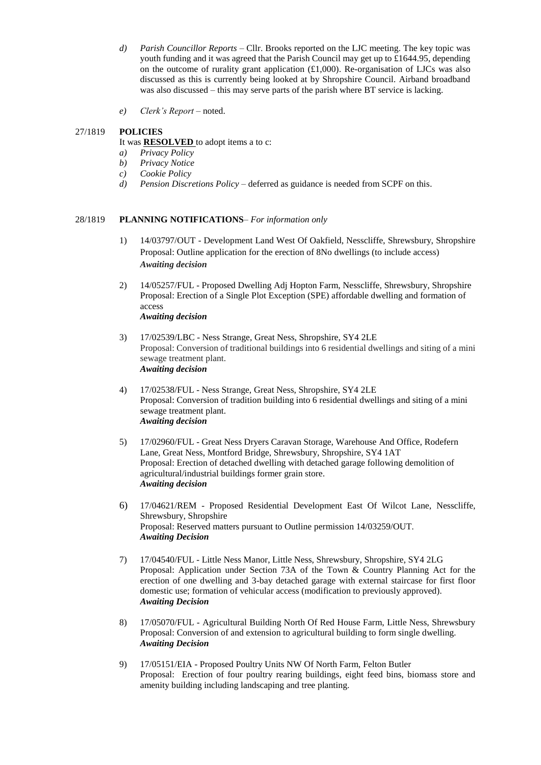- *d) Parish Councillor Reports* Cllr. Brooks reported on the LJC meeting. The key topic was youth funding and it was agreed that the Parish Council may get up to £1644.95, depending on the outcome of rurality grant application  $(\text{\textsterling}1,000)$ . Re-organisation of LJCs was also discussed as this is currently being looked at by Shropshire Council. Airband broadband was also discussed – this may serve parts of the parish where BT service is lacking.
- *e) Clerk's Report* noted.

# 27/1819 **POLICIES**

It was **RESOLVED** to adopt items a to c:

- *a) Privacy Policy*
- *b) Privacy Notice*
- *c) Cookie Policy*
- *d) Pension Discretions Policy –* deferred as guidance is needed from SCPF on this.

# 28/1819 **PLANNING NOTIFICATIONS**– *For information only*

- 1) 14/03797/OUT Development Land West Of Oakfield, Nesscliffe, Shrewsbury, Shropshire Proposal: Outline application for the erection of 8No dwellings (to include access) *Awaiting decision*
- 2) 14/05257/FUL Proposed Dwelling Adj Hopton Farm, Nesscliffe, Shrewsbury, Shropshire Proposal: Erection of a Single Plot Exception (SPE) affordable dwelling and formation of access *Awaiting decision*
- 3) 17/02539/LBC Ness Strange, Great Ness, Shropshire, SY4 2LE Proposal: Conversion of traditional buildings into 6 residential dwellings and siting of a mini sewage treatment plant. *Awaiting decision*
- 4) 17/02538/FUL Ness Strange, Great Ness, Shropshire, SY4 2LE Proposal: Conversion of tradition building into 6 residential dwellings and siting of a mini sewage treatment plant. *Awaiting decision*
- 5) 17/02960/FUL Great Ness Dryers Caravan Storage, Warehouse And Office, Rodefern Lane, Great Ness, Montford Bridge, Shrewsbury, Shropshire, SY4 1AT Proposal: Erection of detached dwelling with detached garage following demolition of agricultural/industrial buildings former grain store. *Awaiting decision*
- 6) 17/04621/REM Proposed Residential Development East Of Wilcot Lane, Nesscliffe, Shrewsbury, Shropshire Proposal: Reserved matters pursuant to Outline permission 14/03259/OUT. *Awaiting Decision*
- 7) 17/04540/FUL Little Ness Manor, Little Ness, Shrewsbury, Shropshire, SY4 2LG Proposal: Application under Section 73A of the Town & Country Planning Act for the erection of one dwelling and 3-bay detached garage with external staircase for first floor domestic use; formation of vehicular access (modification to previously approved). *Awaiting Decision*
- 8) 17/05070/FUL Agricultural Building North Of Red House Farm, Little Ness, Shrewsbury Proposal: Conversion of and extension to agricultural building to form single dwelling. *Awaiting Decision*
- 9) 17/05151/EIA Proposed Poultry Units NW Of North Farm, Felton Butler Proposal: Erection of four poultry rearing buildings, eight feed bins, biomass store and amenity building including landscaping and tree planting.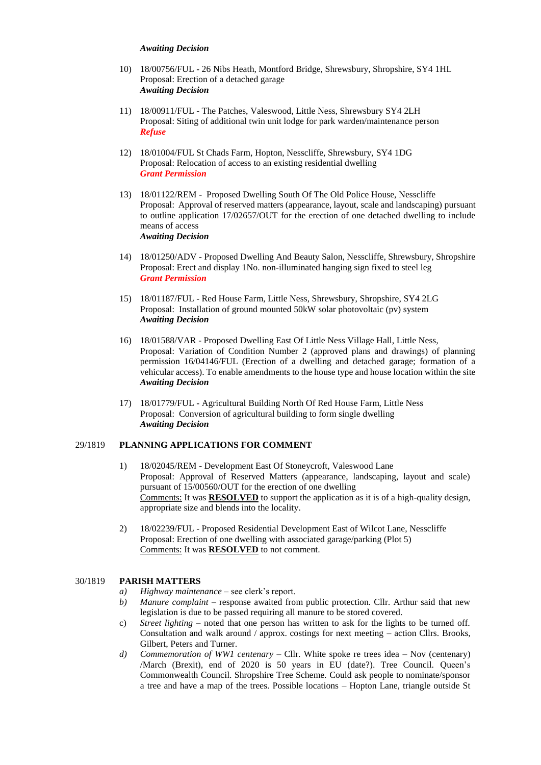#### *Awaiting Decision*

- 10) 18/00756/FUL 26 Nibs Heath, Montford Bridge, Shrewsbury, Shropshire, SY4 1HL Proposal: Erection of a detached garage *Awaiting Decision*
- 11) 18/00911/FUL The Patches, Valeswood, Little Ness, Shrewsbury SY4 2LH Proposal: Siting of additional twin unit lodge for park warden/maintenance person *Refuse*
- 12) 18/01004/FUL St Chads Farm, Hopton, Nesscliffe, Shrewsbury, SY4 1DG Proposal: Relocation of access to an existing residential dwelling *Grant Permission*
- 13) 18/01122/REM Proposed Dwelling South Of The Old Police House, Nesscliffe Proposal: Approval of reserved matters (appearance, layout, scale and landscaping) pursuant to outline application 17/02657/OUT for the erection of one detached dwelling to include means of access *Awaiting Decision*
- 14) 18/01250/ADV Proposed Dwelling And Beauty Salon, Nesscliffe, Shrewsbury, Shropshire Proposal: Erect and display 1No. non-illuminated hanging sign fixed to steel leg *Grant Permission*
- 15) 18/01187/FUL Red House Farm, Little Ness, Shrewsbury, Shropshire, SY4 2LG Proposal: Installation of ground mounted 50kW solar photovoltaic (pv) system *Awaiting Decision*
- 16) 18/01588/VAR Proposed Dwelling East Of Little Ness Village Hall, Little Ness, Proposal: Variation of Condition Number 2 (approved plans and drawings) of planning permission 16/04146/FUL (Erection of a dwelling and detached garage; formation of a vehicular access). To enable amendments to the house type and house location within the site *Awaiting Decision*
- 17) 18/01779/FUL Agricultural Building North Of Red House Farm, Little Ness Proposal: Conversion of agricultural building to form single dwelling *Awaiting Decision*

#### 29/1819 **PLANNING APPLICATIONS FOR COMMENT**

- 1) 18/02045/REM Development East Of Stoneycroft, Valeswood Lane Proposal: Approval of Reserved Matters (appearance, landscaping, layout and scale) pursuant of 15/00560/OUT for the erection of one dwelling Comments: It was **RESOLVED** to support the application as it is of a high-quality design, appropriate size and blends into the locality.
- 2) 18/02239/FUL Proposed Residential Development East of Wilcot Lane, Nesscliffe Proposal: Erection of one dwelling with associated garage/parking (Plot 5) Comments: It was **RESOLVED** to not comment.

### 30/1819 **PARISH MATTERS**

- *a) Highway maintenance* see clerk's report.
- *b) Manure complaint* response awaited from public protection. Cllr. Arthur said that new legislation is due to be passed requiring all manure to be stored covered.
- c) *Street lighting* noted that one person has written to ask for the lights to be turned off. Consultation and walk around / approx. costings for next meeting – action Cllrs. Brooks, Gilbert, Peters and Turner.
- *d) Commemoration of WW1 centenary* Cllr. White spoke re trees idea Nov (centenary) /March (Brexit), end of 2020 is 50 years in EU (date?). Tree Council. Queen's Commonwealth Council. Shropshire Tree Scheme. Could ask people to nominate/sponsor a tree and have a map of the trees. Possible locations – Hopton Lane, triangle outside St